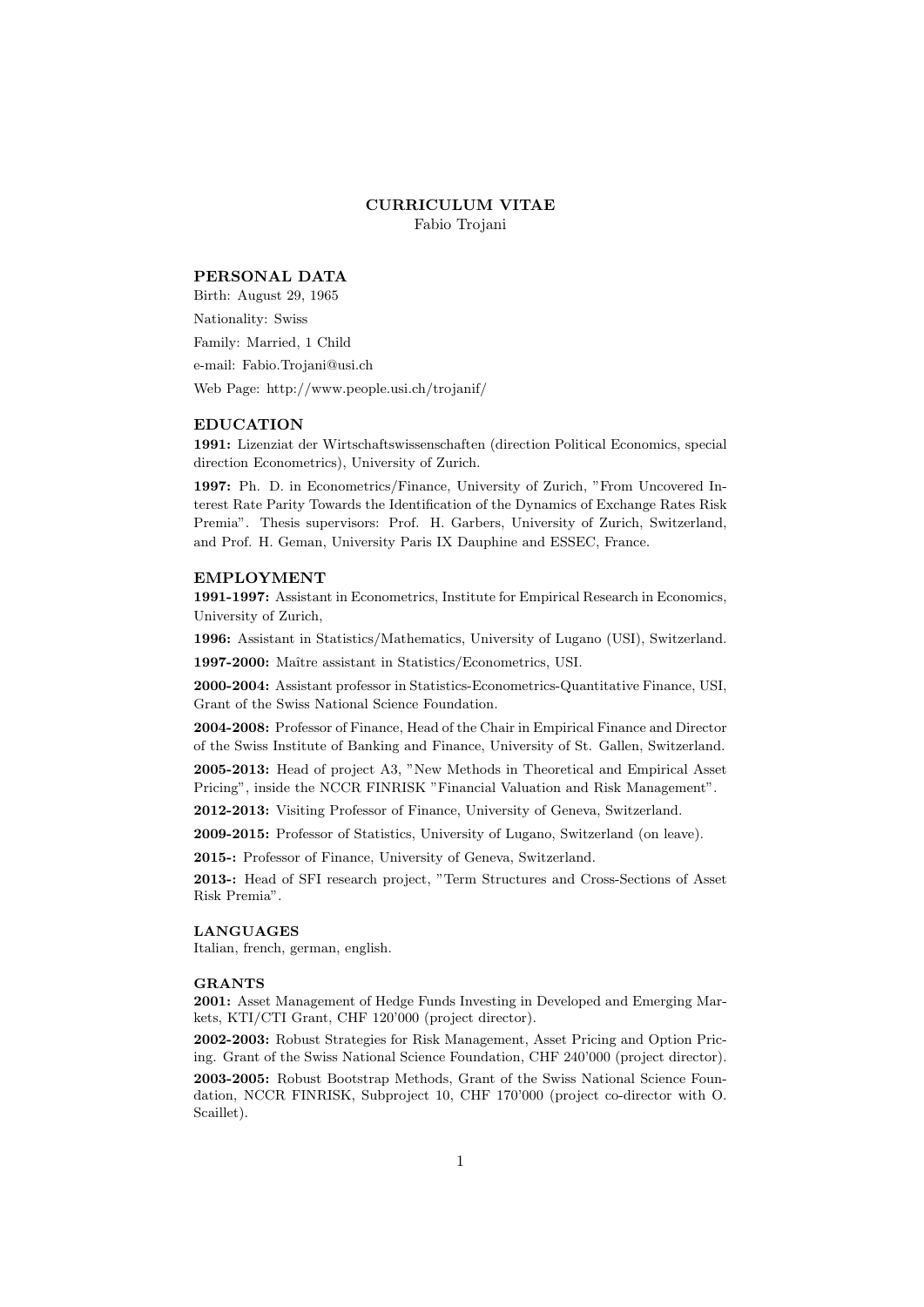# CURRICULUM VITAE

Fabio Trojani

# PERSONAL DATA

Birth: August 29, 1965 Nationality: Swiss Family: Married, 1 Child e-mail: Fabio.Trojani@usi.ch Web Page: http://www.people.usi.ch/trojanif/

# EDUCATION

1991: Lizenziat der Wirtschaftswissenschaften (direction Political Economics, special direction Econometrics), University of Zurich.

1997: Ph. D. in Econometrics/Finance, University of Zurich, "From Uncovered Interest Rate Parity Towards the Identification of the Dynamics of Exchange Rates Risk Premia". Thesis supervisors: Prof. H. Garbers, University of Zurich, Switzerland, and Prof. H. Geman, University Paris IX Dauphine and ESSEC, France.

# EMPLOYMENT

1991-1997: Assistant in Econometrics, Institute for Empirical Research in Economics, University of Zurich,

1996: Assistant in Statistics/Mathematics, University of Lugano (USI), Switzerland.

1997-2000: Maître assistant in Statistics/Econometrics, USI.

2000-2004: Assistant professor in Statistics-Econometrics-Quantitative Finance, USI, Grant of the Swiss National Science Foundation.

2004-2008: Professor of Finance, Head of the Chair in Empirical Finance and Director of the Swiss Institute of Banking and Finance, University of St. Gallen, Switzerland.

2005-2013: Head of project A3, "New Methods in Theoretical and Empirical Asset Pricing", inside the NCCR FINRISK "Financial Valuation and Risk Management".

2012-2013: Visiting Professor of Finance, University of Geneva, Switzerland.

2009-2015: Professor of Statistics, University of Lugano, Switzerland (on leave).

2015-: Professor of Finance, University of Geneva, Switzerland.

2013-: Head of SFI research project, "Term Structures and Cross-Sections of Asset Risk Premia".

#### LANGUAGES

Italian, french, german, english.

#### GRANTS

2001: Asset Management of Hedge Funds Investing in Developed and Emerging Markets, KTI/CTI Grant, CHF 120'000 (project director).

2002-2003: Robust Strategies for Risk Management, Asset Pricing and Option Pricing. Grant of the Swiss National Science Foundation, CHF 240'000 (project director).

2003-2005: Robust Bootstrap Methods, Grant of the Swiss National Science Foundation, NCCR FINRISK, Subproject 10, CHF 170'000 (project co-director with O. Scaillet).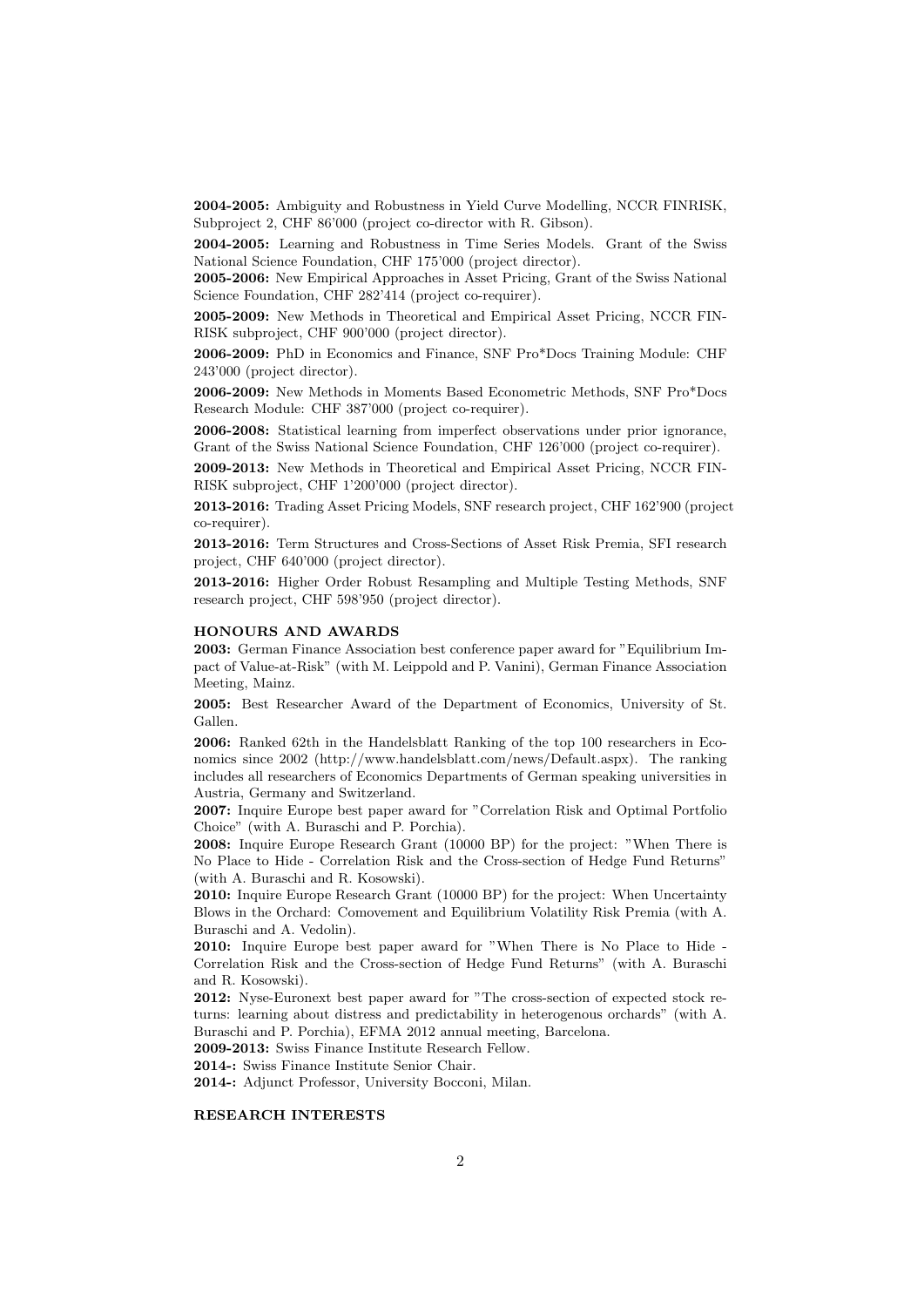2004-2005: Ambiguity and Robustness in Yield Curve Modelling, NCCR FINRISK, Subproject 2, CHF 86'000 (project co-director with R. Gibson).

2004-2005: Learning and Robustness in Time Series Models. Grant of the Swiss National Science Foundation, CHF 175'000 (project director).

2005-2006: New Empirical Approaches in Asset Pricing, Grant of the Swiss National Science Foundation, CHF 282'414 (project co-requirer).

2005-2009: New Methods in Theoretical and Empirical Asset Pricing, NCCR FIN-RISK subproject, CHF 900'000 (project director).

2006-2009: PhD in Economics and Finance, SNF Pro\*Docs Training Module: CHF 243'000 (project director).

2006-2009: New Methods in Moments Based Econometric Methods, SNF Pro\*Docs Research Module: CHF 387'000 (project co-requirer).

2006-2008: Statistical learning from imperfect observations under prior ignorance, Grant of the Swiss National Science Foundation, CHF 126'000 (project co-requirer).

2009-2013: New Methods in Theoretical and Empirical Asset Pricing, NCCR FIN-RISK subproject, CHF 1'200'000 (project director).

2013-2016: Trading Asset Pricing Models, SNF research project, CHF 162'900 (project co-requirer).

2013-2016: Term Structures and Cross-Sections of Asset Risk Premia, SFI research project, CHF 640'000 (project director).

2013-2016: Higher Order Robust Resampling and Multiple Testing Methods, SNF research project, CHF 598'950 (project director).

#### HONOURS AND AWARDS

2003: German Finance Association best conference paper award for "Equilibrium Impact of Value-at-Risk" (with M. Leippold and P. Vanini), German Finance Association Meeting, Mainz.

2005: Best Researcher Award of the Department of Economics, University of St. Gallen.

2006: Ranked 62th in the Handelsblatt Ranking of the top 100 researchers in Economics since 2002 (http://www.handelsblatt.com/news/Default.aspx). The ranking includes all researchers of Economics Departments of German speaking universities in Austria, Germany and Switzerland.

2007: Inquire Europe best paper award for "Correlation Risk and Optimal Portfolio Choice" (with A. Buraschi and P. Porchia).

2008: Inquire Europe Research Grant (10000 BP) for the project: "When There is No Place to Hide - Correlation Risk and the Cross-section of Hedge Fund Returns" (with A. Buraschi and R. Kosowski).

2010: Inquire Europe Research Grant (10000 BP) for the project: When Uncertainty Blows in the Orchard: Comovement and Equilibrium Volatility Risk Premia (with A. Buraschi and A. Vedolin).

2010: Inquire Europe best paper award for "When There is No Place to Hide - Correlation Risk and the Cross-section of Hedge Fund Returns" (with A. Buraschi and R. Kosowski).

2012: Nyse-Euronext best paper award for "The cross-section of expected stock returns: learning about distress and predictability in heterogenous orchards" (with A. Buraschi and P. Porchia), EFMA 2012 annual meeting, Barcelona.

2009-2013: Swiss Finance Institute Research Fellow.

2014-: Swiss Finance Institute Senior Chair.

2014-: Adjunct Professor, University Bocconi, Milan.

# RESEARCH INTERESTS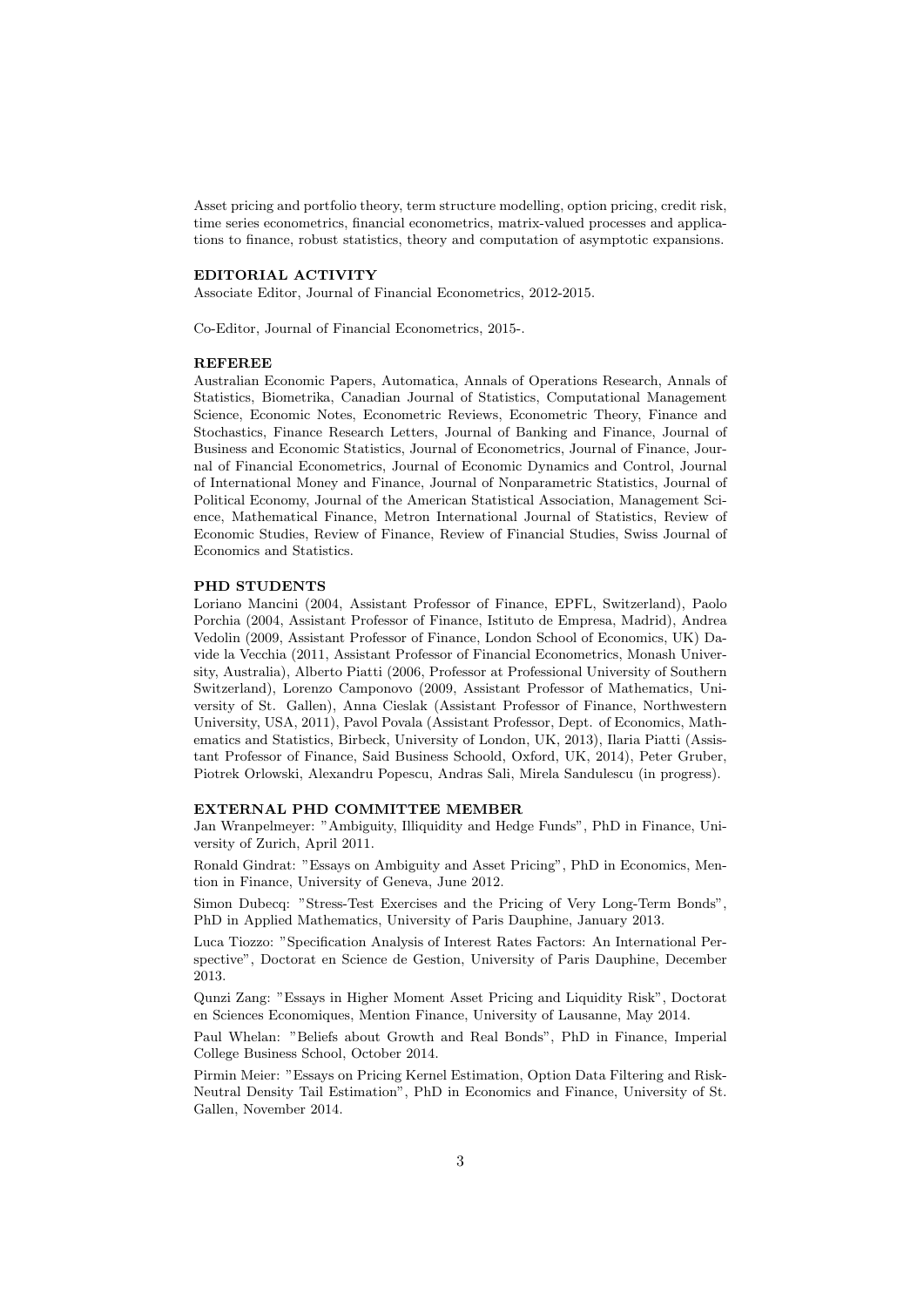Asset pricing and portfolio theory, term structure modelling, option pricing, credit risk, time series econometrics, financial econometrics, matrix-valued processes and applications to finance, robust statistics, theory and computation of asymptotic expansions.

# EDITORIAL ACTIVITY

Associate Editor, Journal of Financial Econometrics, 2012-2015.

Co-Editor, Journal of Financial Econometrics, 2015-.

# REFEREE

Australian Economic Papers, Automatica, Annals of Operations Research, Annals of Statistics, Biometrika, Canadian Journal of Statistics, Computational Management Science, Economic Notes, Econometric Reviews, Econometric Theory, Finance and Stochastics, Finance Research Letters, Journal of Banking and Finance, Journal of Business and Economic Statistics, Journal of Econometrics, Journal of Finance, Journal of Financial Econometrics, Journal of Economic Dynamics and Control, Journal of International Money and Finance, Journal of Nonparametric Statistics, Journal of Political Economy, Journal of the American Statistical Association, Management Science, Mathematical Finance, Metron International Journal of Statistics, Review of Economic Studies, Review of Finance, Review of Financial Studies, Swiss Journal of Economics and Statistics.

#### PHD STUDENTS

Loriano Mancini (2004, Assistant Professor of Finance, EPFL, Switzerland), Paolo Porchia (2004, Assistant Professor of Finance, Istituto de Empresa, Madrid), Andrea Vedolin (2009, Assistant Professor of Finance, London School of Economics, UK) Davide la Vecchia (2011, Assistant Professor of Financial Econometrics, Monash University, Australia), Alberto Piatti (2006, Professor at Professional University of Southern Switzerland), Lorenzo Camponovo (2009, Assistant Professor of Mathematics, University of St. Gallen), Anna Cieslak (Assistant Professor of Finance, Northwestern University, USA, 2011), Pavol Povala (Assistant Professor, Dept. of Economics, Mathematics and Statistics, Birbeck, University of London, UK, 2013), Ilaria Piatti (Assistant Professor of Finance, Said Business Schoold, Oxford, UK, 2014), Peter Gruber, Piotrek Orlowski, Alexandru Popescu, Andras Sali, Mirela Sandulescu (in progress).

#### EXTERNAL PHD COMMITTEE MEMBER

Jan Wranpelmeyer: "Ambiguity, Illiquidity and Hedge Funds", PhD in Finance, University of Zurich, April 2011.

Ronald Gindrat: "Essays on Ambiguity and Asset Pricing", PhD in Economics, Mention in Finance, University of Geneva, June 2012.

Simon Dubecq: "Stress-Test Exercises and the Pricing of Very Long-Term Bonds", PhD in Applied Mathematics, University of Paris Dauphine, January 2013.

Luca Tiozzo: "Specification Analysis of Interest Rates Factors: An International Perspective", Doctorat en Science de Gestion, University of Paris Dauphine, December 2013.

Qunzi Zang: "Essays in Higher Moment Asset Pricing and Liquidity Risk", Doctorat en Sciences Economiques, Mention Finance, University of Lausanne, May 2014.

Paul Whelan: "Beliefs about Growth and Real Bonds", PhD in Finance, Imperial College Business School, October 2014.

Pirmin Meier: "Essays on Pricing Kernel Estimation, Option Data Filtering and Risk-Neutral Density Tail Estimation", PhD in Economics and Finance, University of St. Gallen, November 2014.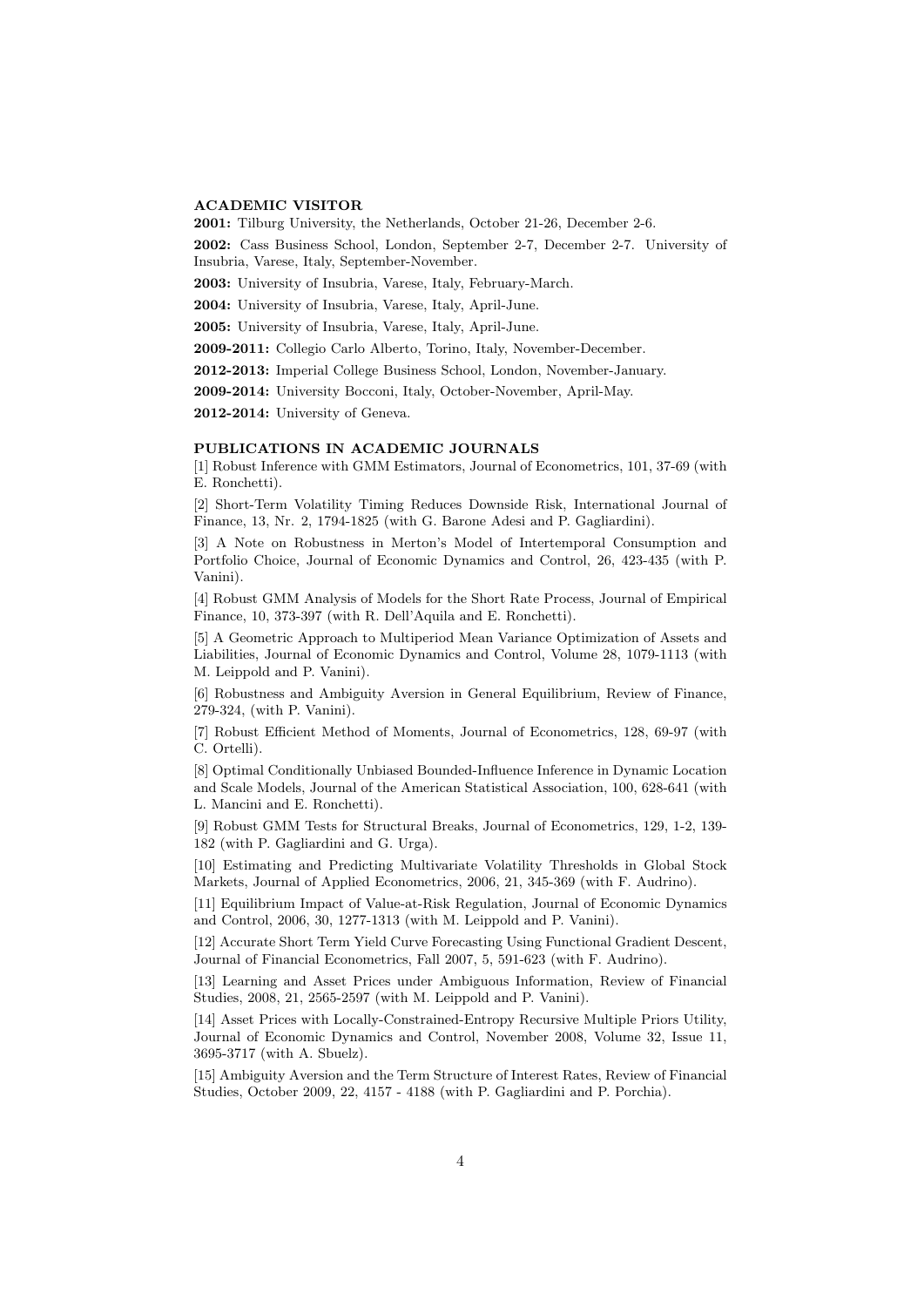# ACADEMIC VISITOR

2001: Tilburg University, the Netherlands, October 21-26, December 2-6.

2002: Cass Business School, London, September 2-7, December 2-7. University of Insubria, Varese, Italy, September-November.

2003: University of Insubria, Varese, Italy, February-March.

2004: University of Insubria, Varese, Italy, April-June.

2005: University of Insubria, Varese, Italy, April-June.

2009-2011: Collegio Carlo Alberto, Torino, Italy, November-December.

2012-2013: Imperial College Business School, London, November-January.

2009-2014: University Bocconi, Italy, October-November, April-May.

2012-2014: University of Geneva.

### PUBLICATIONS IN ACADEMIC JOURNALS

[1] Robust Inference with GMM Estimators, Journal of Econometrics, 101, 37-69 (with E. Ronchetti).

[2] Short-Term Volatility Timing Reduces Downside Risk, International Journal of Finance, 13, Nr. 2, 1794-1825 (with G. Barone Adesi and P. Gagliardini).

[3] A Note on Robustness in Merton's Model of Intertemporal Consumption and Portfolio Choice, Journal of Economic Dynamics and Control, 26, 423-435 (with P. Vanini).

[4] Robust GMM Analysis of Models for the Short Rate Process, Journal of Empirical Finance, 10, 373-397 (with R. Dell'Aquila and E. Ronchetti).

[5] A Geometric Approach to Multiperiod Mean Variance Optimization of Assets and Liabilities, Journal of Economic Dynamics and Control, Volume 28, 1079-1113 (with M. Leippold and P. Vanini).

[6] Robustness and Ambiguity Aversion in General Equilibrium, Review of Finance, 279-324, (with P. Vanini).

[7] Robust Efficient Method of Moments, Journal of Econometrics, 128, 69-97 (with C. Ortelli).

[8] Optimal Conditionally Unbiased Bounded-Influence Inference in Dynamic Location and Scale Models, Journal of the American Statistical Association, 100, 628-641 (with L. Mancini and E. Ronchetti).

[9] Robust GMM Tests for Structural Breaks, Journal of Econometrics, 129, 1-2, 139- 182 (with P. Gagliardini and G. Urga).

[10] Estimating and Predicting Multivariate Volatility Thresholds in Global Stock Markets, Journal of Applied Econometrics, 2006, 21, 345-369 (with F. Audrino).

[11] Equilibrium Impact of Value-at-Risk Regulation, Journal of Economic Dynamics and Control, 2006, 30, 1277-1313 (with M. Leippold and P. Vanini).

[12] Accurate Short Term Yield Curve Forecasting Using Functional Gradient Descent, Journal of Financial Econometrics, Fall 2007, 5, 591-623 (with F. Audrino).

[13] Learning and Asset Prices under Ambiguous Information, Review of Financial Studies, 2008, 21, 2565-2597 (with M. Leippold and P. Vanini).

[14] Asset Prices with Locally-Constrained-Entropy Recursive Multiple Priors Utility, Journal of Economic Dynamics and Control, November 2008, Volume 32, Issue 11, 3695-3717 (with A. Sbuelz).

[15] Ambiguity Aversion and the Term Structure of Interest Rates, Review of Financial Studies, October 2009, 22, 4157 - 4188 (with P. Gagliardini and P. Porchia).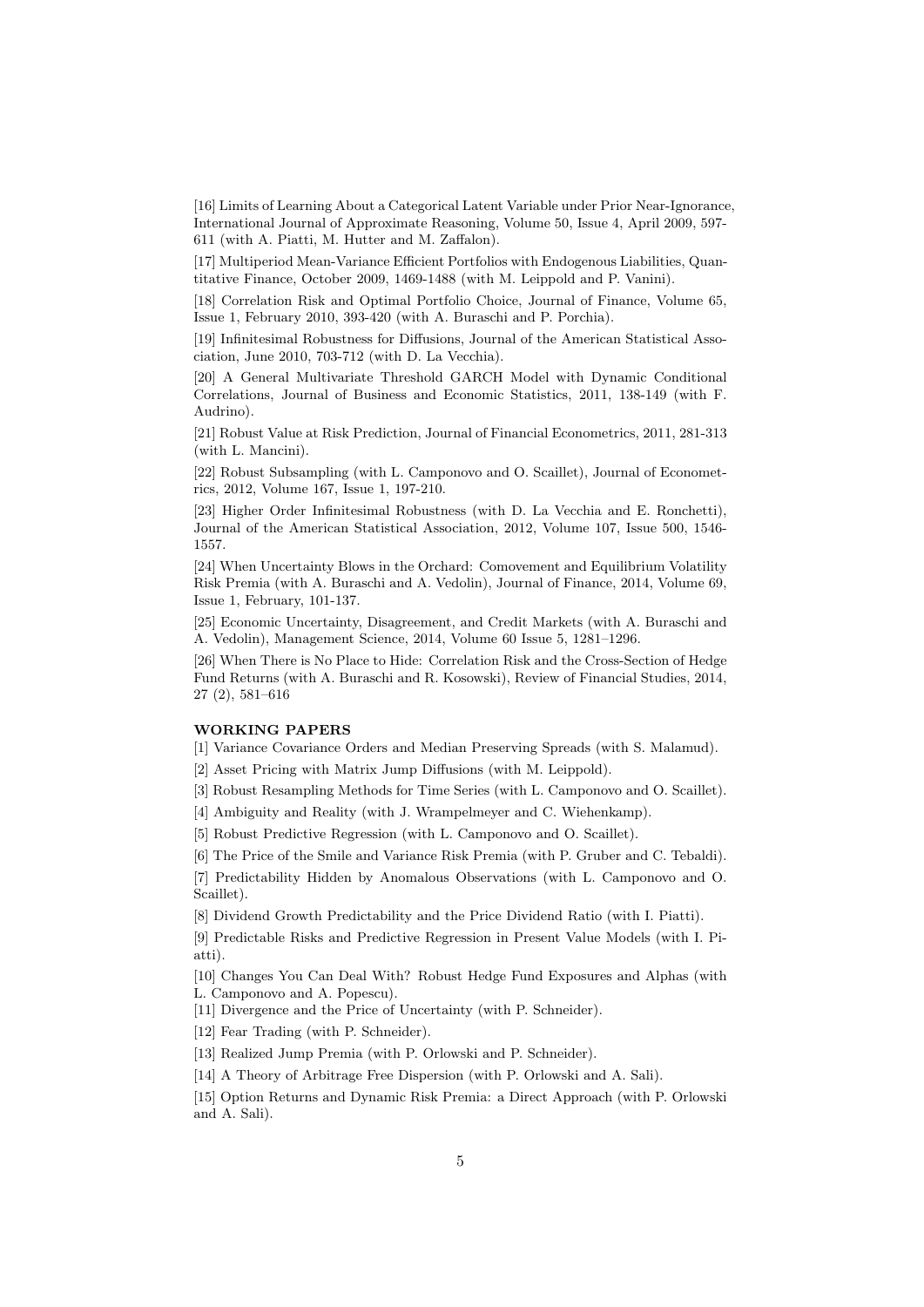[16] Limits of Learning About a Categorical Latent Variable under Prior Near-Ignorance, International Journal of Approximate Reasoning, Volume 50, Issue 4, April 2009, 597- 611 (with A. Piatti, M. Hutter and M. Zaffalon).

[17] Multiperiod Mean-Variance Efficient Portfolios with Endogenous Liabilities, Quantitative Finance, October 2009, 1469-1488 (with M. Leippold and P. Vanini).

[18] Correlation Risk and Optimal Portfolio Choice, Journal of Finance, Volume 65, Issue 1, February 2010, 393-420 (with A. Buraschi and P. Porchia).

[19] Infinitesimal Robustness for Diffusions, Journal of the American Statistical Association, June 2010, 703-712 (with D. La Vecchia).

[20] A General Multivariate Threshold GARCH Model with Dynamic Conditional Correlations, Journal of Business and Economic Statistics, 2011, 138-149 (with F. Audrino).

[21] Robust Value at Risk Prediction, Journal of Financial Econometrics, 2011, 281-313 (with L. Mancini).

[22] Robust Subsampling (with L. Camponovo and O. Scaillet), Journal of Econometrics, 2012, Volume 167, Issue 1, 197-210.

[23] Higher Order Infinitesimal Robustness (with D. La Vecchia and E. Ronchetti), Journal of the American Statistical Association, 2012, Volume 107, Issue 500, 1546- 1557.

[24] When Uncertainty Blows in the Orchard: Comovement and Equilibrium Volatility Risk Premia (with A. Buraschi and A. Vedolin), Journal of Finance, 2014, Volume 69, Issue 1, February, 101-137.

[25] Economic Uncertainty, Disagreement, and Credit Markets (with A. Buraschi and A. Vedolin), Management Science, 2014, Volume 60 Issue 5, 1281–1296.

[26] When There is No Place to Hide: Correlation Risk and the Cross-Section of Hedge Fund Returns (with A. Buraschi and R. Kosowski), Review of Financial Studies, 2014, 27 (2), 581–616

#### WORKING PAPERS

[1] Variance Covariance Orders and Median Preserving Spreads (with S. Malamud).

[2] Asset Pricing with Matrix Jump Diffusions (with M. Leippold).

[3] Robust Resampling Methods for Time Series (with L. Camponovo and O. Scaillet).

[4] Ambiguity and Reality (with J. Wrampelmeyer and C. Wiehenkamp).

[5] Robust Predictive Regression (with L. Camponovo and O. Scaillet).

[6] The Price of the Smile and Variance Risk Premia (with P. Gruber and C. Tebaldi).

[7] Predictability Hidden by Anomalous Observations (with L. Camponovo and O. Scaillet).

[8] Dividend Growth Predictability and the Price Dividend Ratio (with I. Piatti).

[9] Predictable Risks and Predictive Regression in Present Value Models (with I. Piatti).

[10] Changes You Can Deal With? Robust Hedge Fund Exposures and Alphas (with L. Camponovo and A. Popescu).

[11] Divergence and the Price of Uncertainty (with P. Schneider).

[12] Fear Trading (with P. Schneider).

[13] Realized Jump Premia (with P. Orlowski and P. Schneider).

[14] A Theory of Arbitrage Free Dispersion (with P. Orlowski and A. Sali).

[15] Option Returns and Dynamic Risk Premia: a Direct Approach (with P. Orlowski and A. Sali).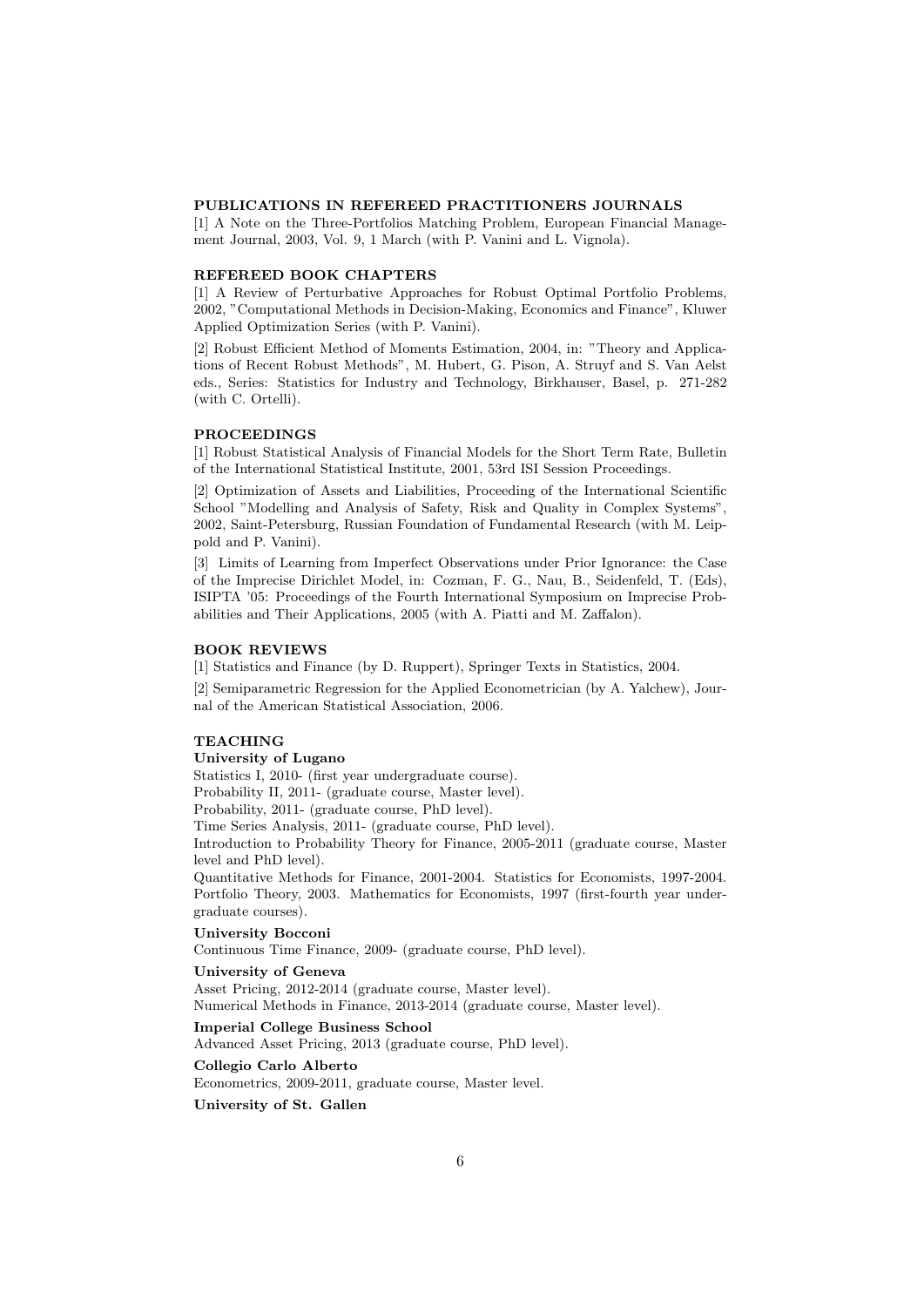#### PUBLICATIONS IN REFEREED PRACTITIONERS JOURNALS

[1] A Note on the Three-Portfolios Matching Problem, European Financial Management Journal, 2003, Vol. 9, 1 March (with P. Vanini and L. Vignola).

# REFEREED BOOK CHAPTERS

[1] A Review of Perturbative Approaches for Robust Optimal Portfolio Problems, 2002, "Computational Methods in Decision-Making, Economics and Finance", Kluwer Applied Optimization Series (with P. Vanini).

[2] Robust Efficient Method of Moments Estimation, 2004, in: "Theory and Applications of Recent Robust Methods", M. Hubert, G. Pison, A. Struyf and S. Van Aelst eds., Series: Statistics for Industry and Technology, Birkhauser, Basel, p. 271-282 (with C. Ortelli).

#### PROCEEDINGS

[1] Robust Statistical Analysis of Financial Models for the Short Term Rate, Bulletin of the International Statistical Institute, 2001, 53rd ISI Session Proceedings.

[2] Optimization of Assets and Liabilities, Proceeding of the International Scientific School "Modelling and Analysis of Safety, Risk and Quality in Complex Systems", 2002, Saint-Petersburg, Russian Foundation of Fundamental Research (with M. Leippold and P. Vanini).

[3] Limits of Learning from Imperfect Observations under Prior Ignorance: the Case of the Imprecise Dirichlet Model, in: Cozman, F. G., Nau, B., Seidenfeld, T. (Eds), ISIPTA '05: Proceedings of the Fourth International Symposium on Imprecise Probabilities and Their Applications, 2005 (with A. Piatti and M. Zaffalon).

# BOOK REVIEWS

[1] Statistics and Finance (by D. Ruppert), Springer Texts in Statistics, 2004.

[2] Semiparametric Regression for the Applied Econometrician (by A. Yalchew), Journal of the American Statistical Association, 2006.

# TEACHING

### University of Lugano

Statistics I, 2010- (first year undergraduate course).

Probability II, 2011- (graduate course, Master level).

Probability, 2011- (graduate course, PhD level).

Time Series Analysis, 2011- (graduate course, PhD level).

Introduction to Probability Theory for Finance, 2005-2011 (graduate course, Master level and PhD level).

Quantitative Methods for Finance, 2001-2004. Statistics for Economists, 1997-2004. Portfolio Theory, 2003. Mathematics for Economists, 1997 (first-fourth year undergraduate courses).

#### University Bocconi

Continuous Time Finance, 2009- (graduate course, PhD level).

#### University of Geneva

Asset Pricing, 2012-2014 (graduate course, Master level). Numerical Methods in Finance, 2013-2014 (graduate course, Master level).

# Imperial College Business School

Advanced Asset Pricing, 2013 (graduate course, PhD level).

Collegio Carlo Alberto Econometrics, 2009-2011, graduate course, Master level.

University of St. Gallen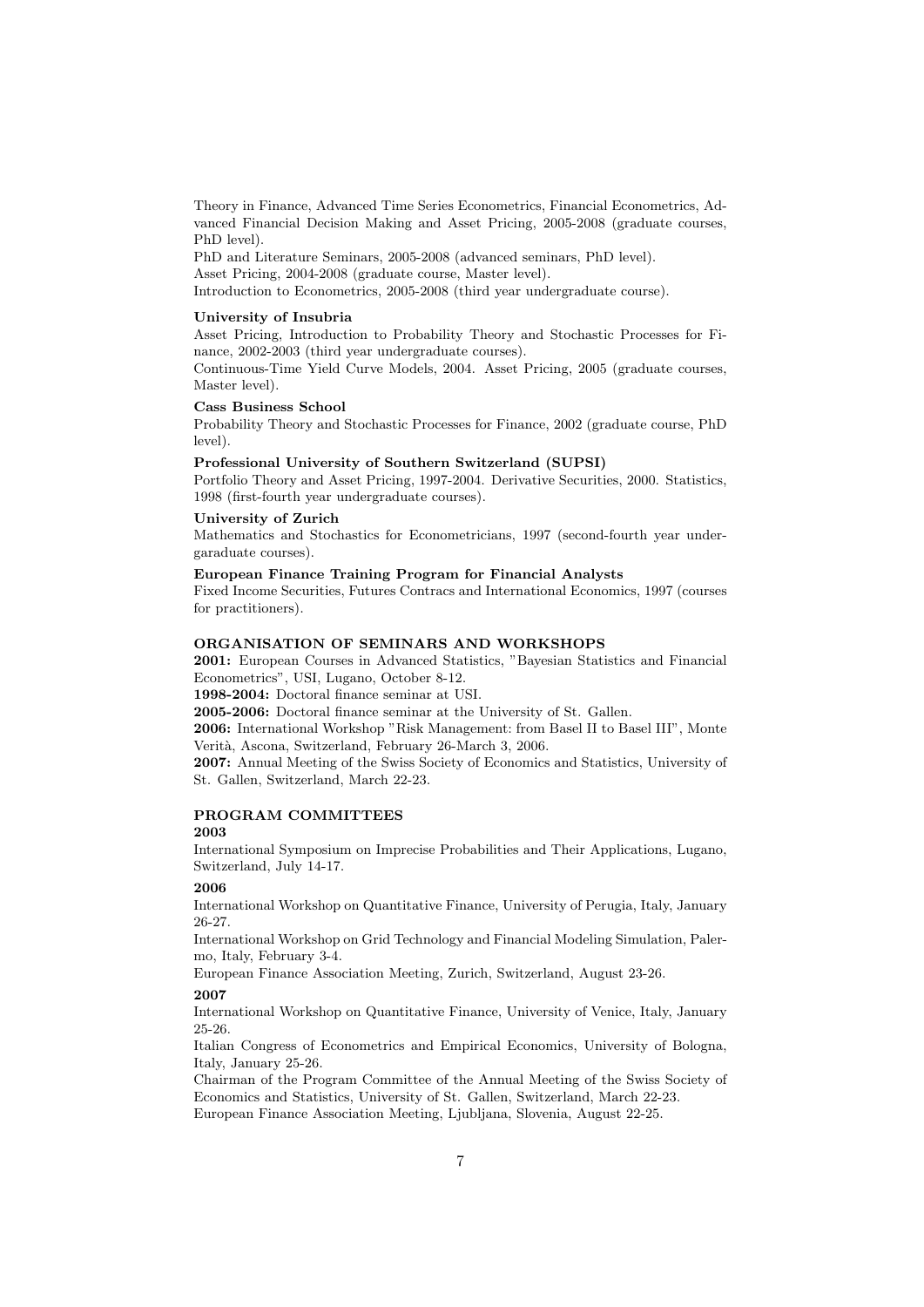Theory in Finance, Advanced Time Series Econometrics, Financial Econometrics, Advanced Financial Decision Making and Asset Pricing, 2005-2008 (graduate courses, PhD level).

PhD and Literature Seminars, 2005-2008 (advanced seminars, PhD level). Asset Pricing, 2004-2008 (graduate course, Master level). Introduction to Econometrics, 2005-2008 (third year undergraduate course).

#### University of Insubria

Asset Pricing, Introduction to Probability Theory and Stochastic Processes for Finance, 2002-2003 (third year undergraduate courses).

Continuous-Time Yield Curve Models, 2004. Asset Pricing, 2005 (graduate courses, Master level).

#### Cass Business School

Probability Theory and Stochastic Processes for Finance, 2002 (graduate course, PhD level).

#### Professional University of Southern Switzerland (SUPSI)

Portfolio Theory and Asset Pricing, 1997-2004. Derivative Securities, 2000. Statistics, 1998 (first-fourth year undergraduate courses).

# University of Zurich

Mathematics and Stochastics for Econometricians, 1997 (second-fourth year undergaraduate courses).

#### European Finance Training Program for Financial Analysts

Fixed Income Securities, Futures Contracs and International Economics, 1997 (courses for practitioners).

# ORGANISATION OF SEMINARS AND WORKSHOPS

2001: European Courses in Advanced Statistics, "Bayesian Statistics and Financial Econometrics", USI, Lugano, October 8-12.

1998-2004: Doctoral finance seminar at USI.

2005-2006: Doctoral finance seminar at the University of St. Gallen.

2006: International Workshop "Risk Management: from Basel II to Basel III", Monte Verità, Ascona, Switzerland, February 26-March 3, 2006.

2007: Annual Meeting of the Swiss Society of Economics and Statistics, University of St. Gallen, Switzerland, March 22-23.

# PROGRAM COMMITTEES

# 2003

International Symposium on Imprecise Probabilities and Their Applications, Lugano, Switzerland, July 14-17.

### 2006

International Workshop on Quantitative Finance, University of Perugia, Italy, January 26-27.

International Workshop on Grid Technology and Financial Modeling Simulation, Palermo, Italy, February 3-4.

European Finance Association Meeting, Zurich, Switzerland, August 23-26.

# 2007

International Workshop on Quantitative Finance, University of Venice, Italy, January 25-26.

Italian Congress of Econometrics and Empirical Economics, University of Bologna, Italy, January 25-26.

Chairman of the Program Committee of the Annual Meeting of the Swiss Society of Economics and Statistics, University of St. Gallen, Switzerland, March 22-23. European Finance Association Meeting, Ljubljana, Slovenia, August 22-25.